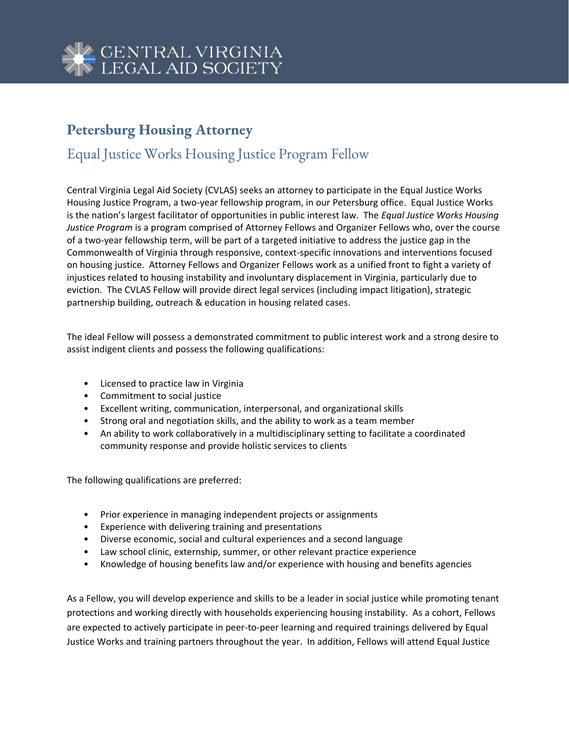

## **Petersburg Housing Attorney**

## Equal Justice Works Housing Justice Program Fellow

Central Virginia Legal Aid Society (CVLAS) seeks an attorney to participate in the Equal Justice Works Housing Justice Program, a two-year fellowship program, in our Petersburg office. Equal Justice Works is the nation's largest facilitator of opportunities in public interest law. The *Equal Justice Works Housing Justice Program* is a program comprised of Attorney Fellows and Organizer Fellows who, over the course of a two-year fellowship term, will be part of a targeted initiative to address the justice gap in the Commonwealth of Virginia through responsive, context-specific innovations and interventions focused on housing justice. Attorney Fellows and Organizer Fellows work as a unified front to fight a variety of injustices related to housing instability and involuntary displacement in Virginia, particularly due to eviction. The CVLAS Fellow will provide direct legal services (including impact litigation), strategic partnership building, outreach & education in housing related cases.

The ideal Fellow will possess a demonstrated commitment to public interest work and a strong desire to assist indigent clients and possess the following qualifications:

- Licensed to practice law in Virginia
- Commitment to social justice
- Excellent writing, communication, interpersonal, and organizational skills
- Strong oral and negotiation skills, and the ability to work as a team member
- An ability to work collaboratively in a multidisciplinary setting to facilitate a coordinated community response and provide holistic services to clients

The following qualifications are preferred:

- Prior experience in managing independent projects or assignments
- Experience with delivering training and presentations
- Diverse economic, social and cultural experiences and a second language
- Law school clinic, externship, summer, or other relevant practice experience
- Knowledge of housing benefits law and/or experience with housing and benefits agencies

As a Fellow, you will develop experience and skills to be a leader in social justice while promoting tenant protections and working directly with households experiencing housing instability. As a cohort, Fellows are expected to actively participate in peer-to-peer learning and required trainings delivered by Equal Justice Works and training partners throughout the year. In addition, Fellows will attend Equal Justice